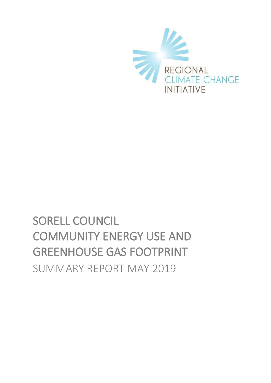

# SORELL COUNCIL COMMUNITY ENERGY USE AND GREENHOUSE GAS FOOTPRINT SUMMARY REPORT MAY 2019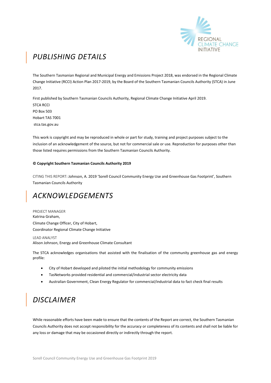

# *PUBLISHING DETAILS*

The Southern Tasmanian Regional and Municipal Energy and Emissions Project 2018, was endorsed in the Regional Climate Change Initiative (RCCI) Action Plan 2017-2019, by the Board of the Southern Tasmanian Councils Authority (STCA) in June 2017.

First published by Southern Tasmanian Councils Authority, Regional Climate Change Initiative April 2019. STCA RCCI PO Box 503 Hobart TAS 7001 stca.tas.gov.au

This work is copyright and may be reproduced in whole or part for study, training and project purposes subject to the inclusion of an acknowledgement of the source, but not for commercial sale or use. Reproduction for purposes other than those listed requires permissions from the Southern Tasmanian Councils Authority.

#### **© Copyright Southern Tasmanian Councils Authority 2019**

CITING THIS REPORT: Johnson, A. 2019 'Sorell Council Community Energy Use and Greenhouse Gas Footprint', Southern Tasmanian Councils Authority

## *ACKNOWLEDGEMENTS*

PROJECT MANAGER Katrina Graham, Climate Change Officer, City of Hobart, Coordinator Regional Climate Change Initiative

LEAD ANALYST Alison Johnson, Energy and Greenhouse Climate Consultant

The STCA acknowledges organisations that assisted with the finalisation of the community greenhouse gas and energy profile:

- City of Hobart developed and piloted the initial methodology for community emissions
- TasNetworks provided residential and commercial/industrial sector electricity data
- Australian Government, Clean Energy Regulator for commercial/industrial data to fact check final results

# *DISCLAIMER*

While reasonable efforts have been made to ensure that the contents of the Report are correct, the Southern Tasmanian Councils Authority does not accept responsibility for the accuracy or completeness of its contents and shall not be liable for any loss or damage that may be occasioned directly or indirectly through the report.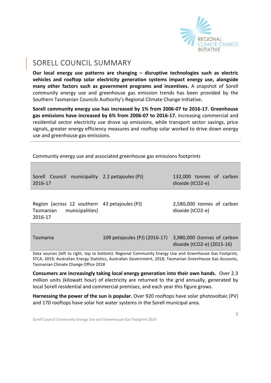

### SORELL COUNCIL SUMMARY

**Our local energy use patterns are changing – disruptive technologies such as electric vehicles and rooftop solar electricity generation systems impact energy use, alongside many other factors such as government programs and incentives.** A snapshot of Sorell community energy use and greenhouse gas emission trends has been provided by the Southern Tasmanian Councils Authority's Regional Climate Change Initiative**.** 

**Sorell community energy use has increased by 1% from 2006-07 to 2016-17. Greenhouse gas emissions have increased by 6% from 2006-07 to 2016-17.** Increasing commercial and residential sector electricity use drove up emissions, while transport sector savings, price signals, greater energy efficiency measures and rooftop solar worked to drive down energy use and greenhouse gas emissions.

Community energy use and associated greenhouse gas emissions footprints

| Sorell Council municipality 2.2 petajoules (PJ)<br>2016-17                               |                               | 132,000 tonnes of carbon<br>dioxide (tCO2-e)              |
|------------------------------------------------------------------------------------------|-------------------------------|-----------------------------------------------------------|
| Region (across 12 southern 43 petajoules (PJ)<br>municipalities)<br>Tasmanian<br>2016-17 |                               | 2,580,000 tonnes of carbon<br>dioxide (tCO2-e)            |
| Tasmania                                                                                 | 109 petajoules (PJ) (2016-17) | 3,980,000 (tonnes of carbon<br>dioxide (tCO2-e) (2015-16) |

Data sources (left to right, top to bottom): Regional Community Energy Use and Greenhouse Gas Footprint, STCA, 2019; Australian Energy Statistics, Australian Government, 2018; Tasmanian Greenhouse Gas Accounts, Tasmanian Climate Change Office 2018

**Consumers are increasingly taking local energy generation into their own hands.** Over 2.3 million units (kilowatt hour) of electricity are returned to the grid annually, generated by local Sorell residential and commercial premises, and each year this figure grows.

**Harnessing the power of the sun is popular.** Over 920 rooftops have solar photovoltaic (PV) and 170 rooftops have solar hot water systems in the Sorell municipal area.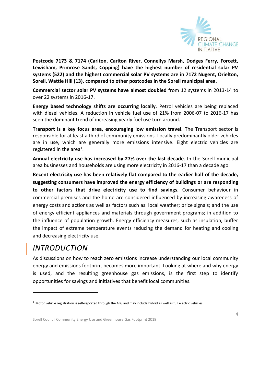

**Postcode 7173 & 7174 (Carlton, Carlton River, Connellys Marsh, Dodges Ferry, Forcett, Lewisham, Primrose Sands, Copping) have the highest number of residential solar PV systems (522) and the highest commercial solar PV systems are in 7172 Nugent, Orielton, Sorell, Wattle Hill (13), compared to other postcodes in the Sorell municipal area.**

**Commercial sector solar PV systems have almost doubled** from 12 systems in 2013-14 to over 22 systems in 2016-17.

**Energy based technology shifts are occurring locally**. Petrol vehicles are being replaced with diesel vehicles. A reduction in vehicle fuel use of 21% from 2006-07 to 2016-17 has seen the dominant trend of increasing yearly fuel use turn around.

**Transport is a key focus area, encouraging low emission travel.** The Transport sector is responsible for at least a third of community emissions. Locally predominantly older vehicles are in use, which are generally more emissions intensive. Eight electric vehicles are registered in the area<sup>1</sup>.

**Annual electricity use has increased by 27% over the last decade**. In the Sorell municipal area businesses and households are using more electricity in 2016-17 than a decade ago.

**Recent electricity use has been relatively flat compared to the earlier half of the decade, suggesting consumers have improved the energy efficiency of buildings or are responding to other factors that drive electricity use to find savings.** Consumer behaviour in commercial premises and the home are considered influenced by increasing awareness of energy costs and actions as well as factors such as: local weather; price signals; and the use of energy efficient appliances and materials through government programs; in addition to the influence of population growth. Energy efficiency measures, such as insulation, buffer the impact of extreme temperature events reducing the demand for heating and cooling and decreasing electricity use.

### *INTRODUCTION*

-

As discussions on how to reach zero emissions increase understanding our local community energy and emissions footprint becomes more important. Looking at where and why energy is used, and the resulting greenhouse gas emissions, is the first step to identify opportunities for savings and initiatives that benefit local communities.

 $1$  Motor vehicle registration is self-reported through the ABS and may include hybrid as well as full electric vehicles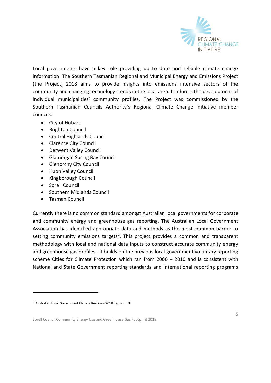

Local governments have a key role providing up to date and reliable climate change information. The Southern Tasmanian Regional and Municipal Energy and Emissions Project (the Project) 2018 aims to provide insights into emissions intensive sectors of the community and changing technology trends in the local area. It informs the development of individual municipalities' community profiles. The Project was commissioned by the Southern Tasmanian Councils Authority's Regional Climate Change Initiative member councils:

- City of [Hobart](http://www.hobartcity.com.au/)
- [Brighton Council](http://www.brighton.tas.gov.au/)
- [Central Highlands Council](http://www.centralhighlands.tas.gov.au/site/page.cfm)
- [Clarence City Council](http://www.ccc.tas.gov.au/)
- [Derwent Valley Council](http://www.derwentvalley.tas.gov.au/)
- [Glamorgan Spring Bay Council](http://www.gsbc.tas.gov.au/site/page.cfm)
- **•** [Glenorchy City Council](http://www.gcc.tas.gov.au/)
- [Huon Valley Council](http://www.huonvalley.tas.gov.au/)
- [Kingborough Council](http://www.kingborough.tas.gov.au/)
- [Sorell Council](http://www.sorell.tas.gov.au/)

-

- [Southern Midlands Council](http://www.southernmidlands.tas.gov.au/site/page.cfm)
- [Tasman Council](http://www.tasman.tas.gov.au/site/page.cfm)

Currently there is no common standard amongst Australian local governments for corporate and community energy and greenhouse gas reporting. The Australian Local Government Association has identified appropriate data and methods as the most common barrier to setting community emissions targets<sup>2</sup>. This project provides a common and transparent methodology with local and national data inputs to construct accurate community energy and greenhouse gas profiles. It builds on the previous local government voluntary reporting scheme Cities for Climate Protection which ran from 2000 – 2010 and is consistent with National and State Government reporting standards and international reporting programs

<sup>2</sup> Australian Local Government Climate Review – 2018 Report p. 3.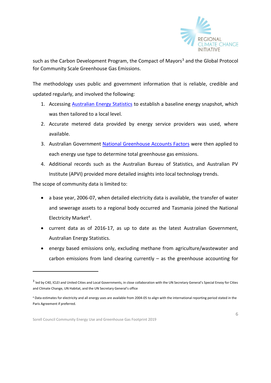

such as the Carbon Development Program, the Compact of Mayors<sup>3</sup> and the Global Protocol for Community Scale Greenhouse Gas Emissions.

The methodology uses public and government information that is reliable, credible and updated regularly, and involved the following:

- 1. Accessing **[Australian Energy Statistics](https://industry.gov.au/Office-of-the-Chief-Economist/Publications/Pages/Australian-energy-statistics.aspx)** to establish a baseline energy snapshot, which was then tailored to a local level.
- 2. Accurate metered data provided by energy service providers was used, where available.
- 3. Australian Government [National Greenhouse Accounts Factors](http://www.environment.gov.au/climate-change/climate-science-data/greenhouse-gas-measurement/publications/national-greenhouse-accounts-factors-july-2017) were then applied to each energy use type to determine total greenhouse gas emissions.
- 4. Additional records such as the Australian Bureau of Statistics, and Australian PV Institute (APVI) provided more detailed insights into local technology trends.

The scope of community data is limited to:

-

- a base year, 2006-07, when detailed electricity data is available, the transfer of water and sewerage assets to a regional body occurred and Tasmania joined the National Electricity Market<sup>4</sup>.
- current data as of 2016-17, as up to date as the latest Australian Government, Australian Energy Statistics.
- energy based emissions only, excluding methane from agriculture/wastewater and carbon emissions from land clearing currently  $-$  as the greenhouse accounting for

<sup>&</sup>lt;sup>3</sup> led by C40, ICLEI and United Cities and Local Governments, in close collaboration with the UN Secretary General's Special Envoy for Cities and Climate Change, UN Habitat, and the UN Secretary General's office

<sup>4</sup> Data estimates for electricity and all energy uses are available from 2004-05 to align with the international reporting period stated in the Paris Agreement if preferred.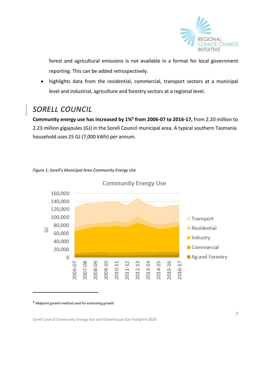

forest and agricultural emissions is not available in a format for local government reporting. This can be added retrospectively.

 highlights data from the residential, commercial, transport sectors at a municipal level and industrial, agriculture and forestry sectors at a regional level.

# *SORELL COUNCIL*

**Community energy use has increased by 1%<sup>5</sup> from 2006-07 to 2016-17,** from 2.20 million to 2.23 million gigajoules (GJ) in the Sorell Council municipal area. A typical southern Tasmania household uses 25 GJ (7,000 kWh) per annum.





**Community Energy Use** 

<sup>5</sup> Midpoint growth method used for estimating growth

-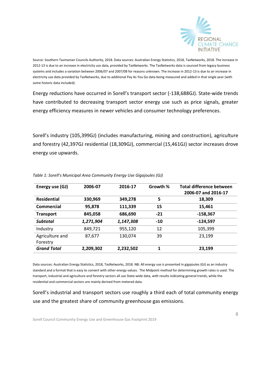

Source: Southern Tasmanian Councils Authority, 2018. Data sources: Australian Energy Statistics, 2018, TasNetworks, 2018. The increase in 2012-13 is due to an increase in electricity use data, provided by TasNetworks. The TasNetworks data is sourced from legacy business systems and includes a variation between 2006/07 and 2007/08 for reasons unknown. The increase in 2012-13 is due to an increase in electricity use data provided by TasNetworks, due to additional Pay As You Go data being measured and added in that single year (with some historic data included).

Energy reductions have occurred in Sorell's transport sector (-138,688GJ). State-wide trends have contributed to decreasing transport sector energy use such as price signals, greater energy efficiency measures in newer vehicles and consumer technology preferences.

Sorell's industry (105,399GJ) (includes manufacturing, mining and construction), agriculture and forestry (42,397GJ residential (18,309GJ), commercial (15,461GJ) sector increases drove energy use upwards.

| Energy use (GJ)    | 2006-07   | 2016-17   | Growth % | <b>Total difference between</b> |
|--------------------|-----------|-----------|----------|---------------------------------|
|                    |           |           |          | 2006-07 and 2016-17             |
| <b>Residential</b> | 330,969   | 349,278   | 5        | 18,309                          |
| Commercial         | 95,878    | 111,339   | 15       | 15,461                          |
| <b>Transport</b>   | 845,058   | 686,690   | $-21$    | $-158,367$                      |
| <b>Subtotal</b>    | 1,271,904 | 1,147,308 | $-10$    | $-124,597$                      |
| Industry           | 849,721   | 955,120   | 12       | 105,399                         |
| Agriculture and    | 87,677    | 130,074   | 39       | 23,199                          |
| Forestry           |           |           |          |                                 |
| <b>Grand Total</b> | 2,209,302 | 2,232,502 | 1        | 23,199                          |

*Table 1: Sorell's Municipal Area Community Energy Use Gigajoules (GJ)*

Data sources: Australian Energy Statistics, 2018, TasNetworks, 2018. NB: All energy use is presented in gigajoules (GJ) as an industry standard and a format that is easy to convert with other energy values. The Midpoint method for determining growth rates is used. The transport, industrial and agriculture and forestry sectors all use State-wide data, with results indicating general trends, while the residential and commercial sectors are mainly derived from metered data.

Sorell's industrial and transport sectors use roughly a third each of total community energy use and the greatest share of community greenhouse gas emissions.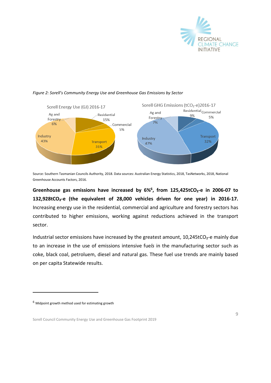



#### *Figure 2: Sorell's Community Energy Use and Greenhouse Gas Emissions by Sector*

Source: Southern Tasmanian Councils Authority, 2018. Data sources: Australian Energy Statistics, 2018, TasNetworks, 2018, National Greenhouse Accounts Factors, 2016.

**Greenhouse gas emissions have increased by 6%<sup>6</sup> , from 125,425tCO₂-e in 2006-07 to 132,928tCO₂-e (the equivalent of 28,000 vehicles driven for one year) in 2016-17.** Increasing energy use in the residential, commercial and agriculture and forestry sectors has contributed to higher emissions, working against reductions achieved in the transport sector.

Industrial sector emissions have increased by the greatest amount,  $10,245$ tCO<sub>2</sub>-e mainly due to an increase in the use of emissions intensive fue*ls* in the manufacturing sector such as coke, black coal, petroluem, diesel and natural gas. These fuel use trends are mainly based on per capita Statewide results.

-

 $^6$  Midpoint growth method used for estimating growth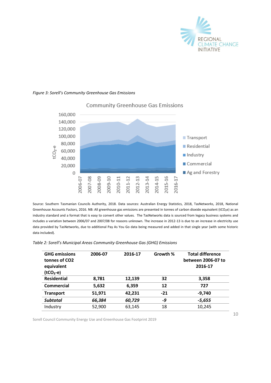

#### *Figure 3: Sorell's Community Greenhouse Gas Emissions*



#### **Community Greenhouse Gas Emissions**

Source: Southern Tasmanian Councils Authority, 2018. Data sources: Australian Energy Statistics, 2018, TasNetworks, 2018, National Greenhouse Accounts Factors, 2016. NB: All greenhouse gas emissions are presented in tonnes of carbon dioxide equivalent (tCO<sub>2</sub>e) as an industry standard and a format that is easy to convert other values.The TasNetworks data is sourced from legacy business systems and includes a variation between 2006/07 and 2007/08 for reasons unknown. The increase in 2012-13 is due to an increase in electricity use data provided by TasNetworks, due to additional Pay As You Go data being measured and added in that single year (with some historic data included).

| Table 2: Sorell's Municipal Areas Community Greenhouse Gas (GHG) Emissions |  |  |
|----------------------------------------------------------------------------|--|--|
|----------------------------------------------------------------------------|--|--|

| <b>GHG emissions</b><br>tonnes of CO <sub>2</sub><br>equivalent<br>$(tCO2-e)$ | 2006-07 | 2016-17 | Growth % | <b>Total difference</b><br>between 2006-07 to<br>2016-17 |
|-------------------------------------------------------------------------------|---------|---------|----------|----------------------------------------------------------|
| <b>Residential</b>                                                            | 8,781   | 12,139  | 32       | 3,358                                                    |
| Commercial                                                                    | 5,632   | 6,359   | 12       | 727                                                      |
| <b>Transport</b>                                                              | 51,971  | 42,231  | $-21$    | $-9.740$                                                 |
| <b>Subtotal</b>                                                               | 66,384  | 60,729  | -9       | $-5,655$                                                 |
| Industry                                                                      | 52,900  | 63,145  | 18       | 10,245                                                   |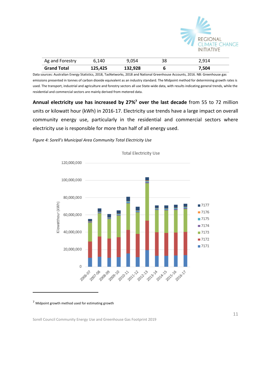

| Ag and Forestry    | 6,140   | 9.054   | 38 | 2,914 |
|--------------------|---------|---------|----|-------|
| <b>Grand Total</b> | 125,425 | 132,928 |    | 7,504 |

Data sources: Australian Energy Statistics, 2018, TasNetworks, 2018 and National Greenhouse Accounts, 2016. NB: Greenhouse gas emissions presented in tonnes of carbon dioxide equivalent as an industry standard. The Midpoint method for determining growth rates is used. The transport, industrial and agriculture and forestry sectors all use State-wide data, with results indicating general trends, while the residential and commercial sectors are mainly derived from metered data.

**Annual electricity use has increased by 27%<sup>7</sup> over the last decade** from 55 to 72 million units or kilowatt hour (kWh) in 2016-17. Electricity use trends have a large impact on overall community energy use, particularly in the residential and commercial sectors where electricity use is responsible for more than half of all energy used.





**Total Electricity Use** 

<sup>7</sup> Midpoint growth method used for estimating growth

-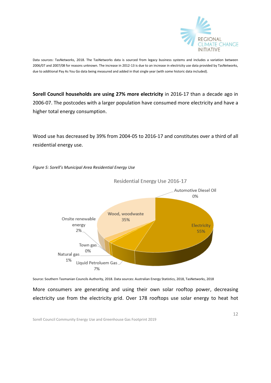

Data sources: TasNetworks, 2018. The TasNetworks data is sourced from legacy business systems and includes a variation between 2006/07 and 2007/08 for reasons unknown. The increase in 2012-13 is due to an increase in electricity use data provided by TasNetworks, due to additional Pay As You Go data being measured and added in that single year (with some historic data included).

**Sorell Council households are using 27% more electricity** in 2016-17 than a decade ago in 2006-07. The postcodes with a larger population have consumed more electricity and have a higher total energy consumption.

Wood use has decreased by 39% from 2004-05 to 2016-17 and constitutes over a third of all residential energy use.



*Figure 5: Sorell's Municipal Area Residential Energy Use*

Source: Southern Tasmanian Councils Authority, 2018. Data sources: Australian Energy Statistics, 2018, TasNetworks, 2018

More consumers are generating and using their own solar rooftop power, decreasing electricity use from the electricity grid. Over 178 rooftops use solar energy to heat hot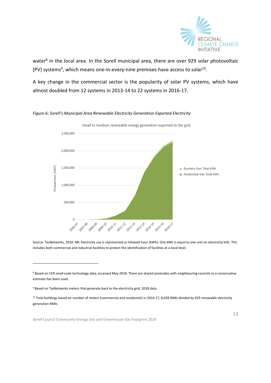

water<sup>8</sup> in the local area. In the Sorell municipal area, there are over 929 solar photovoltaic (PV) systems<sup>9</sup>, which means one-in-every-nine premises have access to solar<sup>10</sup>.

A key change in the commercial sector is the popularity of solar PV systems, which have almost doubled from 12 systems in 2013-14 to 22 systems in 2016-17.

#### Small to medium renewable energy generation exported to the grid 2.500.000 2,000,000 1.500.000 (ilowatthour (kWh) **Business Gen Total kWh** Residential Gen Total kWh 1,000,000 500,000  $\theta$ **2008-09** 2 2012-13 **A** 2014-15 2011-12 33 - 2013-14 **55 - 2015-16** 2010-11 2016-17 Q, ó 2009-2006

*Figure 6: Sorell's Municipal Area Renewable Electricity Generation Exported Electricity* 

Source: TasNetworks, 2018. NB: Electricity use is represented as kilowatt hour (kWh). One kWh is equal to one unit on electricity bills. This includes both commercial and industrial facilities to protect the identification of facilities at a local level.

-

<sup>&</sup>lt;sup>8</sup> Based on CER small scale technology data, accessed May 2018. There are shared postcodes with neighbouring councils so a conservative estimate has been used.

<sup>9</sup> Based on TasNetworks meters that generate back to the electricity grid, 2018 data.

<sup>10</sup> Total buildings based on number of meters (commercial and residential) in 2016-17, 8,039 NMIs divided by 929 renewable electricity generation NMIs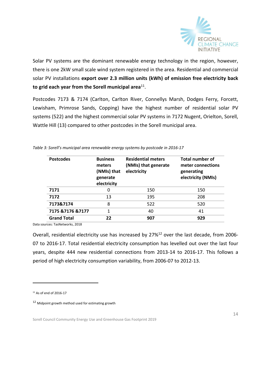

Solar PV systems are the dominant renewable energy technology in the region, however, there is one 2kW small scale wind system registered in the area. Residential and commercial solar PV installations **export over 2.3 million units (kWh) of emission free electricity back to grid each year from the Sorell municipal area**<sup>11</sup> .

Postcodes 7173 & 7174 (Carlton, Carlton River, Connellys Marsh, Dodges Ferry, Forcett, Lewisham, Primrose Sands, Copping) have the highest number of residential solar PV systems (522) and the highest commercial solar PV systems in 7172 Nugent, Orielton, Sorell, Wattle Hill (13) compared to other postcodes in the Sorell municipal area.

| <b>Postcodes</b>   | <b>Business</b><br>meters<br>(NMIs) that<br>generate<br>electricity | <b>Residential meters</b><br>(NMIs) that generate<br>electricity | <b>Total number of</b><br>meter connections<br>generating<br>electricity (NMIs) |
|--------------------|---------------------------------------------------------------------|------------------------------------------------------------------|---------------------------------------------------------------------------------|
| 7171               | 0                                                                   | 150                                                              | 150                                                                             |
| 7172               | 13                                                                  | 195                                                              | 208                                                                             |
| 7173&7174          | 8                                                                   | 522                                                              | 520                                                                             |
| 7175 & 7176 & 7177 | 1                                                                   | 40                                                               | 41                                                                              |
| <b>Grand Total</b> | 22                                                                  | 907                                                              | 929                                                                             |

*Table 3: Sorell's municipal area renewable energy systems by postcode in 2016-17*

Data sources: TasNetworks, 2018

Overall, residential electricity use has increased by 27%<sup>12</sup> over the last decade, from 2006-07 to 2016-17. Total residential electricity consumption has levelled out over the last four years, despite 444 new residential connections from 2013-14 to 2016-17. This follows a period of high electricity consumption variability, from 2006-07 to 2012-13.

-

 $11$  As of end of 2016-17

<sup>12</sup> Midpoint growth method used for estimating growth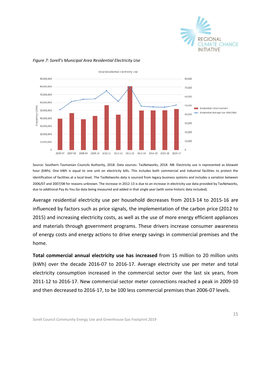



#### *Figure 7: Sorell's Municipal Area Residential Electricity Use*

Source: Southern Tasmanian Councils Authority, 2018. Data sources: TasNetworks, 2018. NB: Electricity use is represented as kilowatt hour (kWh). One kWh is equal to one unit on electricity bills. This includes both commercial and industrial facilities to protect the identification of facilities at a local level*.* The TasNetworks data is sourced from legacy business systems and includes a variation between 2006/07 and 2007/08 for reasons unknown. The increase in 2012-13 is due to an increase in electricity use data provided by TasNetworks, due to additional Pay As You Go data being measured and added in that single year (with some historic data included).

Average residential electricity use per household decreases from 2013-14 to 2015-16 are influenced by factors such as price signals, the implementation of the carbon price (2012 to 2015) and increasing electricity costs, as well as the use of more energy efficient appliances and materials through government programs. These drivers increase consumer awareness of energy costs and energy actions to drive energy savings in commercial premises and the home.

**Total commercial annual electricity use has increased** from 15 million to 20 million units (kWh) over the decade 2016-07 to 2016-17. Average electricity use per meter and total electricity consumption increased in the commercial sector over the last six years, from 2011-12 to 2016-17. New commercial sector meter connections reached a peak in 2009-10 and then decreased to 2016-17, to be 100 less commercial premises than 2006-07 levels.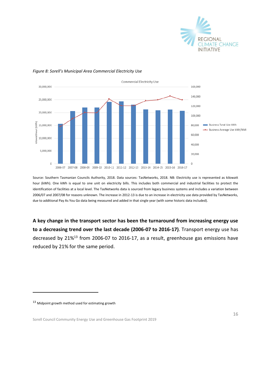



#### *Figure 8: Sorell's Municipal Area Commercial Electricity Use*

Source: Southern Tasmanian Councils Authority, 2018. Data sources: TasNetworks, 2018. NB: Electricity use is represented as kilowatt hour (kWh). One kWh is equal to one unit on electricity bills. This includes both commercial and industrial facilities to protect the identification of facilities at a local level. The TasNetworks data is sourced from legacy business systems and includes a variation between 2006/07 and 2007/08 for reasons unknown. The increase in 2012-13 is due to an increase in electricity use data provided by TasNetworks, due to additional Pay As You Go data being measured and added in that single year (with some historic data included).

**A key change in the transport sector has been the turnaround from increasing energy use to a decreasing trend over the last decade (2006-07 to 2016-17)**. Transport energy use has decreased by 21%<sup>13</sup> from 2006-07 to 2016-17, as a result, greenhouse gas emissions have reduced by 21% for the same period.

-

<sup>13</sup> Midpoint growth method used for estimating growth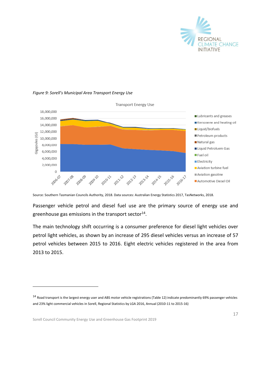

#### *Figure 9: Sorell's Municipal Area Transport Energy Use*



Source: Southern Tasmanian Councils Authority, 2018. Data sources: Australian Energy Statistics 2017, TasNetworks, 2018.

Passenger vehicle petrol and diesel fuel use are the primary source of energy use and greenhouse gas emissions in the transport sector $^{14}$ .

The main technology shift occurring is a consumer preference for diesel light vehicles over petrol light vehicles, as shown by an increase of 295 diesel vehicles versus an increase of 57 petrol vehicles between 2015 to 2016. Eight electric vehicles registered in the area from 2013 to 2015.

Sorell Council Community Energy Use and Greenhouse Gas Footprint 2019

-

<sup>14</sup> Road transport is the largest energy user and ABS motor vehicle registrations (Table 12) indicate predominantly 69% passenger vehicles and 23% light commercial vehicles in Sorell, Regional Statistics by LGA 2016, Annual (2010-11 to 2015-16)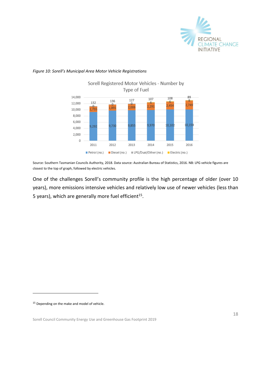

#### *Figure 10: Sorell's Municipal Area Motor Vehicle Registrations*



Source: Southern Tasmanian Councils Authority, 2018. Data source: Australian Bureau of Statistics, 2016. NB: LPG vehicle figures are closest to the top of graph, followed by electric vehicles.

One of the challenges Sorell's community profile is the high percentage of older (over 10 years), more emissions intensive vehicles and relatively low use of newer vehicles (less than 5 years), which are generally more fuel efficient<sup>15</sup>.

<sup>15</sup> Depending on the make and model of vehicle.

-